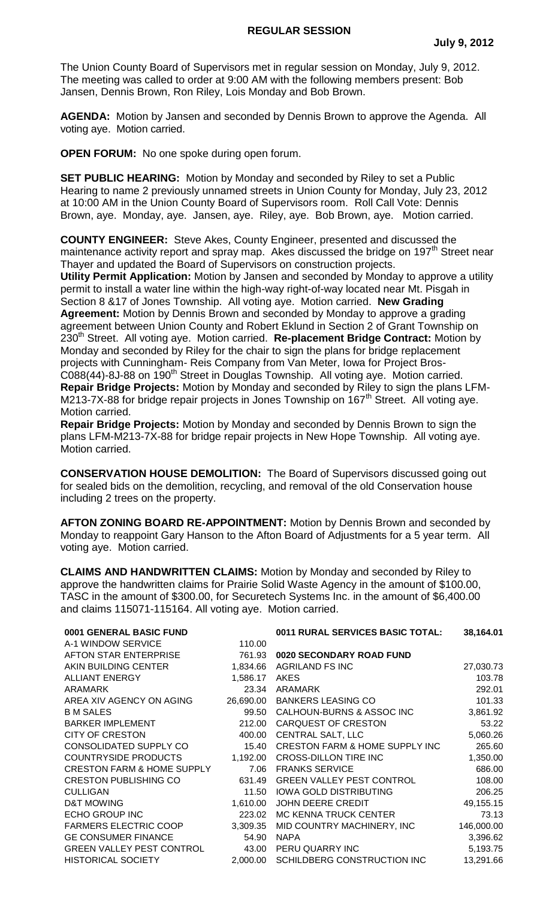The Union County Board of Supervisors met in regular session on Monday, July 9, 2012. The meeting was called to order at 9:00 AM with the following members present: Bob Jansen, Dennis Brown, Ron Riley, Lois Monday and Bob Brown.

**AGENDA:** Motion by Jansen and seconded by Dennis Brown to approve the Agenda. All voting aye. Motion carried.

**OPEN FORUM:** No one spoke during open forum.

**SET PUBLIC HEARING:** Motion by Monday and seconded by Riley to set a Public Hearing to name 2 previously unnamed streets in Union County for Monday, July 23, 2012 at 10:00 AM in the Union County Board of Supervisors room. Roll Call Vote: Dennis Brown, aye. Monday, aye. Jansen, aye. Riley, aye. Bob Brown, aye. Motion carried.

**COUNTY ENGINEER:** Steve Akes, County Engineer, presented and discussed the maintenance activity report and spray map. Akes discussed the bridge on 197<sup>th</sup> Street near Thayer and updated the Board of Supervisors on construction projects.

**Utility Permit Application:** Motion by Jansen and seconded by Monday to approve a utility permit to install a water line within the high-way right-of-way located near Mt. Pisgah in Section 8 &17 of Jones Township. All voting aye. Motion carried. **New Grading Agreement:** Motion by Dennis Brown and seconded by Monday to approve a grading agreement between Union County and Robert Eklund in Section 2 of Grant Township on 230th Street. All voting aye. Motion carried. **Re-placement Bridge Contract:** Motion by Monday and seconded by Riley for the chair to sign the plans for bridge replacement projects with Cunningham- Reis Company from Van Meter, Iowa for Project Bros-C088(44)-8J-88 on 190<sup>th</sup> Street in Douglas Township. All voting aye. Motion carried. **Repair Bridge Projects:** Motion by Monday and seconded by Riley to sign the plans LFM-M213-7X-88 for bridge repair projects in Jones Township on 167<sup>th</sup> Street. All voting ave. Motion carried.

**Repair Bridge Projects:** Motion by Monday and seconded by Dennis Brown to sign the plans LFM-M213-7X-88 for bridge repair projects in New Hope Township. All voting aye. Motion carried.

**CONSERVATION HOUSE DEMOLITION:** The Board of Supervisors discussed going out for sealed bids on the demolition, recycling, and removal of the old Conservation house including 2 trees on the property.

**AFTON ZONING BOARD RE-APPOINTMENT:** Motion by Dennis Brown and seconded by Monday to reappoint Gary Hanson to the Afton Board of Adjustments for a 5 year term. All voting aye. Motion carried.

**CLAIMS AND HANDWRITTEN CLAIMS:** Motion by Monday and seconded by Riley to approve the handwritten claims for Prairie Solid Waste Agency in the amount of \$100.00, TASC in the amount of \$300.00, for Securetech Systems Inc. in the amount of \$6,400.00 and claims 115071-115164. All voting aye. Motion carried.

| 0001 GENERAL BASIC FUND               |           | 0011 RURAL SERVICES BASIC TOTAL:          | 38,164.01  |
|---------------------------------------|-----------|-------------------------------------------|------------|
| A-1 WINDOW SERVICE                    | 110.00    |                                           |            |
| AFTON STAR ENTERPRISE                 | 761.93    | 0020 SECONDARY ROAD FUND                  |            |
| AKIN BUILDING CENTER                  | 1,834.66  | <b>AGRILAND FS INC</b>                    | 27,030.73  |
| <b>ALLIANT ENERGY</b>                 | 1,586.17  | AKES                                      | 103.78     |
| ARAMARK                               | 23.34     | ARAMARK                                   | 292.01     |
| AREA XIV AGENCY ON AGING              | 26,690.00 | <b>BANKERS LEASING CO</b>                 | 101.33     |
| <b>B M SALES</b>                      | 99.50     | CALHOUN-BURNS & ASSOC INC                 | 3,861.92   |
| <b>BARKER IMPLEMENT</b>               | 212.00    | <b>CARQUEST OF CRESTON</b>                | 53.22      |
| <b>CITY OF CRESTON</b>                | 400.00    | <b>CENTRAL SALT, LLC</b>                  | 5,060.26   |
| CONSOLIDATED SUPPLY CO                | 15.40     | <b>CRESTON FARM &amp; HOME SUPPLY INC</b> | 265.60     |
| <b>COUNTRYSIDE PRODUCTS</b>           | 1,192.00  | <b>CROSS-DILLON TIRE INC</b>              | 1,350.00   |
| <b>CRESTON FARM &amp; HOME SUPPLY</b> | 7.06      | <b>FRANKS SERVICE</b>                     | 686.00     |
| <b>CRESTON PUBLISHING CO</b>          | 631.49    | <b>GREEN VALLEY PEST CONTROL</b>          | 108.00     |
| <b>CULLIGAN</b>                       | 11.50     | <b>IOWA GOLD DISTRIBUTING</b>             | 206.25     |
| D&T MOWING                            | 1,610.00  | JOHN DEERE CREDIT                         | 49,155.15  |
| ECHO GROUP INC                        | 223.02    | MC KENNA TRUCK CENTER                     | 73.13      |
| <b>FARMERS ELECTRIC COOP</b>          | 3,309.35  | MID COUNTRY MACHINERY, INC                | 146,000.00 |
| <b>GE CONSUMER FINANCE</b>            | 54.90     | <b>NAPA</b>                               | 3,396.62   |
| <b>GREEN VALLEY PEST CONTROL</b>      | 43.00     | PERU QUARRY INC                           | 5,193.75   |
| <b>HISTORICAL SOCIETY</b>             | 2,000.00  | SCHILDBERG CONSTRUCTION INC               | 13,291.66  |